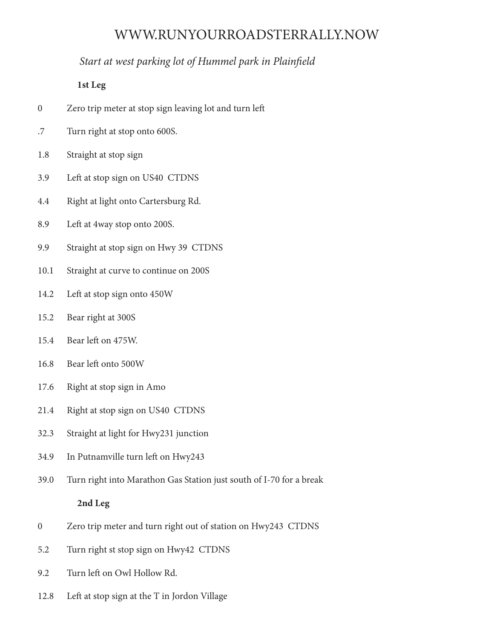# WWW.RUNYOURROADSTERRALLY.NOW

## *Start at west parking lot of Hummel park in Plainfield*

### **1st Leg**

- 0 Zero trip meter at stop sign leaving lot and turn left
- .7 Turn right at stop onto 600S.
- 1.8 Straight at stop sign
- 3.9 Left at stop sign on US40 CTDNS
- 4.4 Right at light onto Cartersburg Rd.
- 8.9 Left at 4way stop onto 200S.
- 9.9 Straight at stop sign on Hwy 39 CTDNS
- 10.1 Straight at curve to continue on 200S
- 14.2 Left at stop sign onto 450W
- 15.2 Bear right at 300S
- 15.4 Bear left on 475W.
- 16.8 Bear left onto 500W
- 17.6 Right at stop sign in Amo
- 21.4 Right at stop sign on US40 CTDNS
- 32.3 Straight at light for Hwy231 junction
- 34.9 In Putnamville turn left on Hwy243
- 39.0 Turn right into Marathon Gas Station just south of I-70 for a break

#### **2nd Leg**

- 0 Zero trip meter and turn right out of station on Hwy243 CTDNS
- 5.2 Turn right st stop sign on Hwy42 CTDNS
- 9.2 Turn left on Owl Hollow Rd.
- 12.8 Left at stop sign at the T in Jordon Village